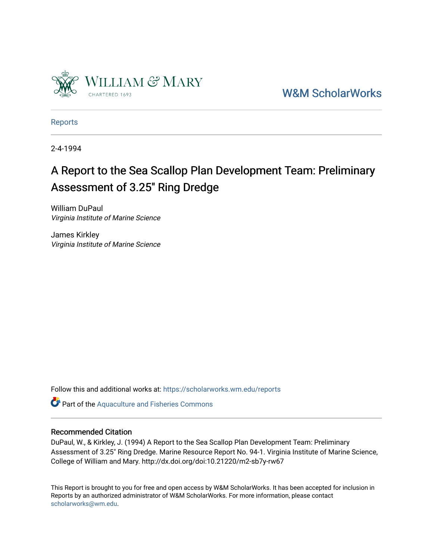

[W&M ScholarWorks](https://scholarworks.wm.edu/) 

[Reports](https://scholarworks.wm.edu/reports)

2-4-1994

## A Report to the Sea Scallop Plan Development Team: Preliminary Assessment of 3.25" Ring Dredge

William DuPaul Virginia Institute of Marine Science

James Kirkley Virginia Institute of Marine Science

Follow this and additional works at: [https://scholarworks.wm.edu/reports](https://scholarworks.wm.edu/reports?utm_source=scholarworks.wm.edu%2Freports%2F1615&utm_medium=PDF&utm_campaign=PDFCoverPages)

Part of the [Aquaculture and Fisheries Commons](http://network.bepress.com/hgg/discipline/78?utm_source=scholarworks.wm.edu%2Freports%2F1615&utm_medium=PDF&utm_campaign=PDFCoverPages)

#### Recommended Citation

DuPaul, W., & Kirkley, J. (1994) A Report to the Sea Scallop Plan Development Team: Preliminary Assessment of 3.25" Ring Dredge. Marine Resource Report No. 94-1. Virginia Institute of Marine Science, College of William and Mary. http://dx.doi.org/doi:10.21220/m2-sb7y-rw67

This Report is brought to you for free and open access by W&M ScholarWorks. It has been accepted for inclusion in Reports by an authorized administrator of W&M ScholarWorks. For more information, please contact [scholarworks@wm.edu.](mailto:scholarworks@wm.edu)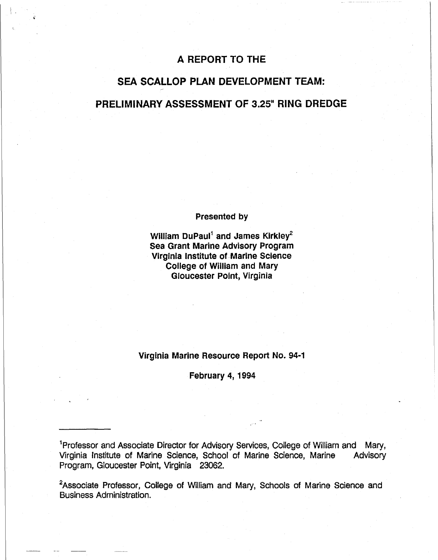### A REPORT TO THE

!, >

## **SEA SCALLOP PLAN** DEVELOPMENT **TEAM: PRELIMINARY ASSESSMENT** OF 3.25" **RING** DREDGE

#### **Presented by**

**William DuPaul1 and James Kirkley2 Sea Grant Marine Advisory Program Virginia Institute of Marine Science College of William and Mary Gloucester Point, Virginia** 

#### **Virginia Marine Resource Report No. 94-1**

**February 4, 1994** 

<sup>1</sup> Professor and Associate Director for Advisory Services, College of William and Mary, Virginia Institute of Marine Science, School of Marine Science, Marine Advisory Program, Gloucester Point, Virginia 23062.

<sup>2</sup>Associate Professor, College of William and Mary, Schools of Marine Science and Business Administration.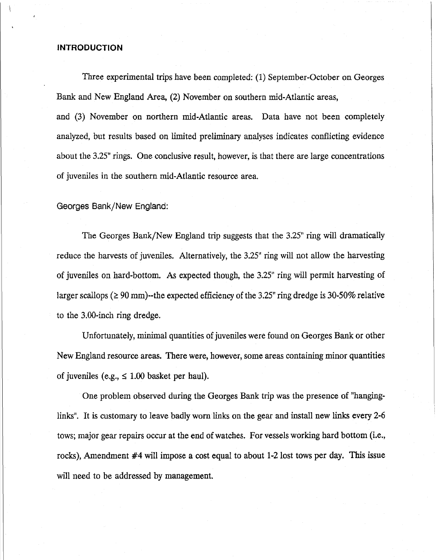#### **INTRODUCTION**

Three experimental trips have been completed: (1) September-October on Georges Bank and New England Area, (2) November on southern mid-Atlantic areas, and (3) November on northern mid-Atlantic areas. Data have not been completely analyzed, but results based on limited preliminary analyses indicates conflicting evidence about the  $3.25$ " rings. One conclusive result, however, is that there are large concentrations of juveniles in the southern mid-Atlantic resource area.

Georges Bank/New England:

The Georges Bank/New England trip suggests that the 3.25" ring will dramatically reduce the harvests of juveniles. Alternatively, the 3.25" ring will not allow the harvesting of juveniles on hard-bottom. *As* expected though, the 3.25" ring will permit harvesting of larger scallops ( $\geq 90$  mm)--the expected efficiency of the 3.25" ring dredge is 30-50% relative to the 3.00-inch ring dredge.

Unfortunately, minimal quantities of juveniles were found on Georges Bank or other New England resource areas. There were, however, some areas containing minor quantities of juveniles (e.g.,  $\leq 1.00$  basket per haul).

One problem observed during the Georges Bank trip was the presence of "hanginglinks". It is customary to leave badly worn links on the gear and install new links every 2-6 tows; major gear repairs occur at the end of watches. For vessels working hard bottom (i.e., rocks), Amendment #4 will impose a cost equal to about 1-2 lost tows per day. This issue will need to be addressed by management.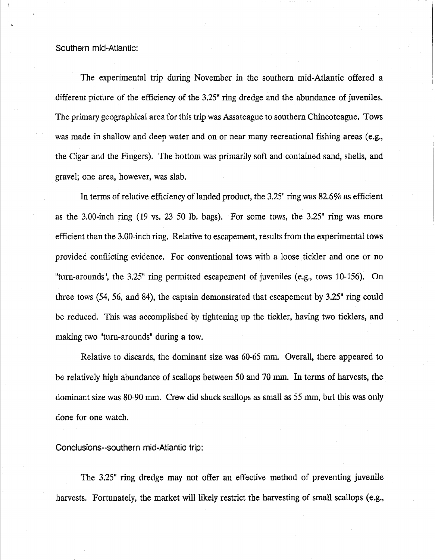#### Southern mid-Atlantic:

The experimental trip during November in the southern mid-Atlantic offered a different picture of the efficiency of the 3.25" ring dredge and the abundance of juveniles. The primary geographical area for this trip was Assateague to southern Chincoteague. Tows was made in shallow and deep water and on or near many recreational fishing areas (e.g., the Cigar and the Fingers). The bottom was primarily soft and contained sand, shells, and gravel; one area, however, was slab.

In terms of relative efficiency of landed product, the 3.25" ring was 82.6% as efficient as the 3.00-inch ring (19 vs. 23 50 lb. bags). For some tows, the 3.25" ring was more efficient than the 3.00-inch ring. Relative to escapement, results from the experimental tows provided conflicting evidence. For conventional tows with a loose tickler and one or no "turn-arounds", the 3.25" ring permitted escapement of juveniles (e.g., tows 10-156). On three tows  $(54, 56, \text{ and } 84)$ , the captain demonstrated that escapement by  $3.25$ <sup>"</sup> ring could be reduced. This was accomplished by tightening up the tickler, having two ticklers, and making two "tum-arounds" during a tow.

Relative to discards, the dominant size was 60-65 mm. Overall, there appeared to be relatively high abundance of scallops between 50 and 70 mm. In terms of harvests, the dominant size was 80-90 mm. Crew did shuck scallops as small as 55 mm, but this was only done for one watch.

#### Conclusions--southern mid-Atlantic trip:

The 3.25<sup>"</sup> ring dredge may not offer an effective method of preventing juvenile harvests. Fortunately, the market will likely restrict the harvesting of small scallops (e.g.,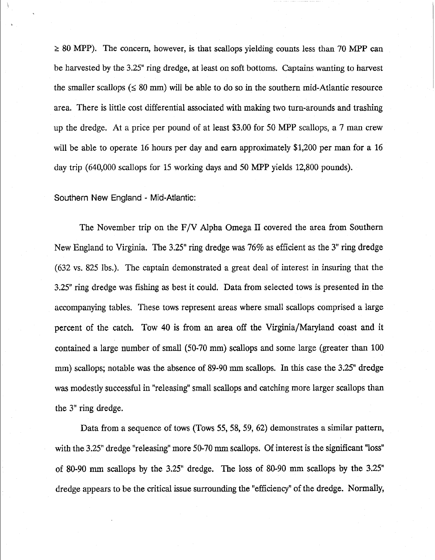$\geq 80$  MPP). The concern, however, is that scallops yielding counts less than 70 MPP can be harvested by the 3.25" ring dredge, at least on soft bottoms. Captains wanting to harvest the smaller scallops ( $\leq 80$  mm) will be able to do so in the southern mid-Atlantic resource area. There is little cost differential associated with making two turn-arounds and trashing up the dredge. At a price per pound of at least \$3.00 for 50 MPP scallops, a 7 man crew will be able to operate 16 hours per day and earn approximately \$1,200 per man for a 16 day trip  $(640,000 \text{ scallops}$  for 15 working days and 50 MPP yields 12,800 pounds).

Southern New England - Mid-Atlantic:

The November trip on the  $F/V$  Alpha Omega II covered the area from Southern New England to Virginia. The 3.25" ring dredge was  $76\%$  as efficient as the 3" ring dredge (632 vs. 825 lbs.). The captain demonstrated a great deal of interest in insuring that the 3.25" ring dredge was fishing as best it could. Data from selected tows is presented in the accompanying tables. These tows represent areas where small scallops comprised a large percent of the catch. Tow 40 is from an area off the Virginia/Maryland coast and it contained a large number of small (50-70 mm) scallops and some large (greater than 100 mm) scallops; notable was the absence of 89-90 mm scallops. In this case the 3.25" dredge was modestly successful in "releasing" small scallops and catching more larger scallops than the 3" ring dredge.

Data from a sequence of tows (Tows 55, 58, 59, 62) demonstrates a similar pattern, with the 3.25" dredge "releasing" more 50-70 mm scallops. Of interest is the significant "loss" of 80-90 mm scallops by the 3.25" dredge. The loss of 80-90 mm scallops by the 3.25" dredge appears to be the critical issue surrounding the "efficiency" of the dredge. Normally,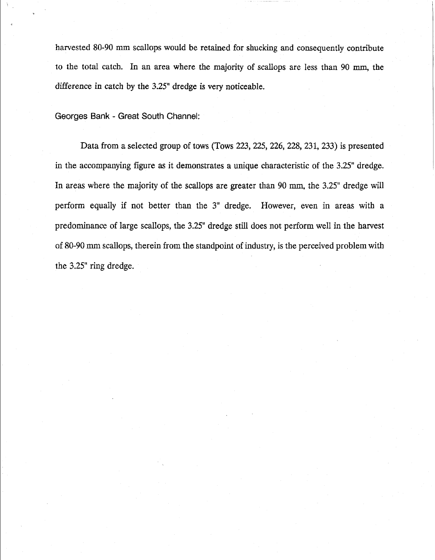harvested 80-90 mm scallops would be retained for shucking and consequently contribute to the total catch. In an area where the majority of scallops are less than 90 mm, the difference in catch by the 3.25" dredge is very noticeable.

Georges Bank - Great South Channel:

Data from a selected group of tows (Tows 223, 225, 226, 228, 231, 233) is presented in the accompanying figure as it demonstrates a unique characteristic of the 3.25" dredge. In areas where the majority of the scallops are greater than 90 mm, the 3.25" dredge will perform equally if not better than the 3<sup>"</sup> dredge. However, even in areas with a predominance of large scallops, the 3.25<sup>"</sup> dredge still does not perform well in the harvest of 80-90 mm scallops, therein from the standpoint of industry, is the perceived problem with the 3.25" ring dredge.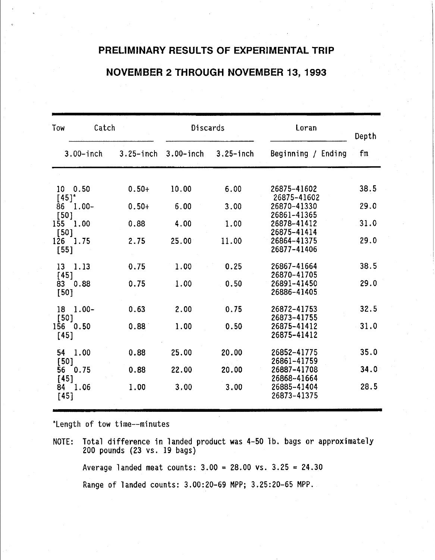### **PRELIMINARY RESULTS OF EXPERIMENTAL TRIP**

### **NOVEMBER 2 THROUGH NOVEMBER 13, 1993**

| Tow                                          | Catch        |              | Discards      | Loran                      | Depth |
|----------------------------------------------|--------------|--------------|---------------|----------------------------|-------|
| $3.00$ -inch                                 | $3.25$ -inch | $3.00$ -inch | $3.25 -$ inch | Beginning / Ending         | fm    |
|                                              |              |              |               |                            |       |
| $10 \quad 0.50$                              | $0.50+$      | 10.00        | 6.00          | 26875-41602<br>26875-41602 | 38.5  |
| $[45]$ <sup>*</sup><br>$1.00-$<br>86<br>[50] | $0.50+$      | 6.00         | 3.00          | 26870-41330<br>26861-41365 | 29.0  |
| 1.00<br>155<br>[50]                          | 0.88         | 4.00         | 1.00          | 26878-41412<br>26875-41414 | 31.0  |
| 1.75<br>126<br>$[55]$                        | 2.75         | 25.00        | 11.00         | 26864-41375<br>26877-41406 | 29.0  |
| 1.13<br>13<br>$[45]$                         | 0.75         | 1.00         | 0.25          | 26867-41664<br>26870-41705 | 38.5  |
| 0.88<br>83<br>[50]                           | 0.75         | 1.00         | 0.50          | 26891-41450<br>26886-41405 | 29.0  |
| $1.00 -$<br>18<br>[50]                       | 0.63         | 2.00         | 0.75          | 26872-41753<br>26873-41755 | 32.5  |
| 156<br>0.50<br>[45]                          | 0.88         | 1.00         | 0.50          | 26875-41412<br>26875-41412 | 31.0  |
| 1.00<br>54<br>[50]                           | 0.88         | 25.00        | 20.00         | 26852-41775<br>26861-41759 | 35.0  |
| 0.75<br>56<br>[45]                           | 0.88         | 22.00        | 20.00         | 26887-41708<br>26868-41664 | 34.0  |
| 84 1.06<br>$[45]$                            | 1.00         | 3.00         | 3.00          | 26885-41404<br>26873-41375 | 28.5  |

"Length of tow time--minutes

NOTE: Total difference in landed product was 4-50 lb. bags or approximately 200 pounds (23 vs. 19 bags)

Average landed meat counts:  $3.00 = 28.00$  vs.  $3.25 = 24.30$ 

Range of landed counts: 3.00:20-69 MPP; 3.25:20-65 MPP.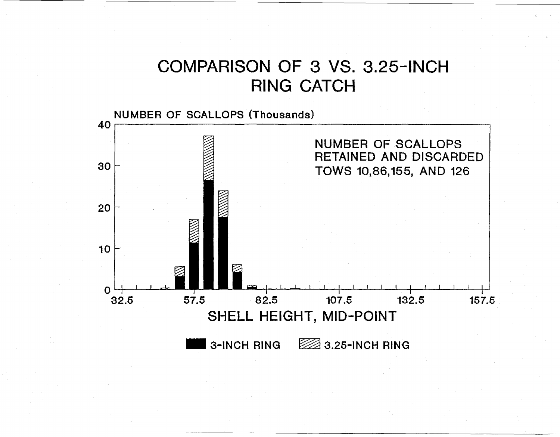# COMPARISON OF 3 VS. 3.25-INCH RING CATCH

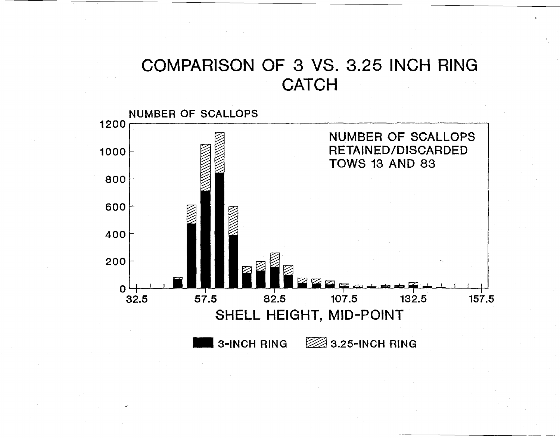# COMPARISON OF 3 VS. 3.25 INCH RING **CATCH**

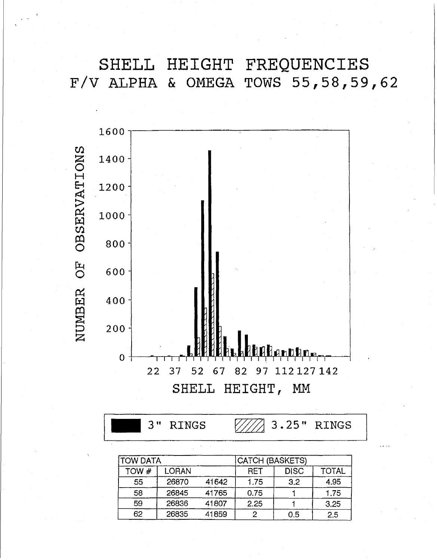**SHELL HEIGHT FREQUENCIES F/V ALPHA & OMEGA TOWS 55,58,59,62** 



3" RINGS  $\sqrt{\frac{7}{2}}$  3.25" RINGS

| <b>ITOW DATA</b> |       |       | <b>CATCH (BASKETS)</b> |             |              |
|------------------|-------|-------|------------------------|-------------|--------------|
| TOW #            | LORAN |       | <b>RET</b>             | <b>DISC</b> | <b>TOTAL</b> |
| 55               | 26870 | 41642 | 1.75                   | 3.2         | 4.95         |
| 58               | 26845 | 41765 | 0.75                   |             | 1.75         |
| 59               | 26836 | 41807 | 2.25                   |             | 3.25         |
| 62               | 26835 | 41859 |                        | 0.5         | 2.5          |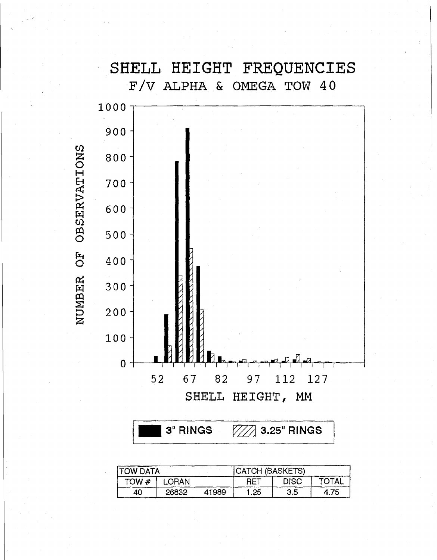## SHELL HEIGHT FREQUENCIES F/V ALPHA & OMEGA TOW 40



| <b>ITOW DATA</b> |       |       | CATCH (BASKETS) |             |              |
|------------------|-------|-------|-----------------|-------------|--------------|
| TOW#             | LORAN |       | <b>RET</b>      | <b>DISC</b> | <b>TOTAL</b> |
| 40               | 26832 | 41989 | 1.25            | 3,5         | 4.75         |